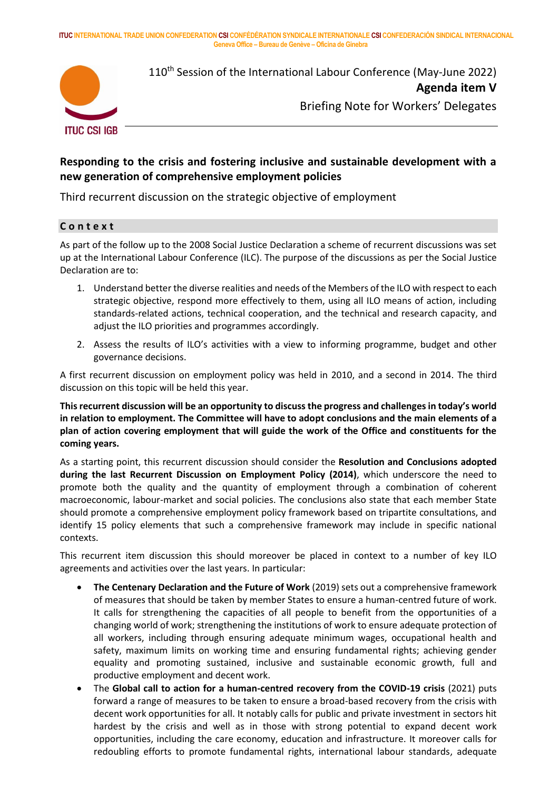**ITUC INTERNATIONAL TRADE UNION CONFEDERATION CSI CONFÉDÉRATION SYNDICALE INTERNATIONALE CSI CONFEDERACIÓN SINDICAL INTERNACIONAL Geneva Office – Bureau de Genève – Oficina de Ginebra**



110<sup>th</sup> Session of the International Labour Conference (May-June 2022) **Agenda item V**

Briefing Note for Workers' Delegates

# **Responding to the crisis and fostering inclusive and sustainable development with a new generation of comprehensive employment policies**

Third recurrent discussion on the strategic objective of employment

## **C o n t e x t**

As part of the follow up to the 2008 Social Justice Declaration a scheme of recurrent discussions was set up at the International Labour Conference (ILC). The purpose of the discussions as per the Social Justice Declaration are to:

- 1. Understand better the diverse realities and needs of the Members of the ILO with respect to each strategic objective, respond more effectively to them, using all ILO means of action, including standards-related actions, technical cooperation, and the technical and research capacity, and adjust the ILO priorities and programmes accordingly.
- 2. Assess the results of ILO's activities with a view to informing programme, budget and other governance decisions.

A first recurrent discussion on employment policy was held in 2010, and a second in 2014. The third discussion on this topic will be held this year.

**Thisrecurrent discussion will be an opportunity to discuss the progress and challenges in today's world in relation to employment. The Committee will have to adopt conclusions and the main elements of a plan of action covering employment that will guide the work of the Office and constituents for the coming years.**

As a starting point, this recurrent discussion should consider the **Resolution and Conclusions adopted during the last Recurrent Discussion on Employment Policy (2014)**, which underscore the need to promote both the quality and the quantity of employment through a combination of coherent macroeconomic, labour-market and social policies. The conclusions also state that each member State should promote a comprehensive employment policy framework based on tripartite consultations, and identify 15 policy elements that such a comprehensive framework may include in specific national contexts.

This recurrent item discussion this should moreover be placed in context to a number of key ILO agreements and activities over the last years. In particular:

- **The Centenary Declaration and the Future of Work** (2019) sets out a comprehensive framework of measures that should be taken by member States to ensure a human-centred future of work. It calls for strengthening the capacities of all people to benefit from the opportunities of a changing world of work; strengthening the institutions of work to ensure adequate protection of all workers, including through ensuring adequate minimum wages, occupational health and safety, maximum limits on working time and ensuring fundamental rights; achieving gender equality and promoting sustained, inclusive and sustainable economic growth, full and productive employment and decent work.
- The **Global call to action for a human-centred recovery from the COVID-19 crisis** (2021) puts forward a range of measures to be taken to ensure a broad-based recovery from the crisis with decent work opportunities for all. It notably calls for public and private investment in sectors hit hardest by the crisis and well as in those with strong potential to expand decent work opportunities, including the care economy, education and infrastructure. It moreover calls for redoubling efforts to promote fundamental rights, international labour standards, adequate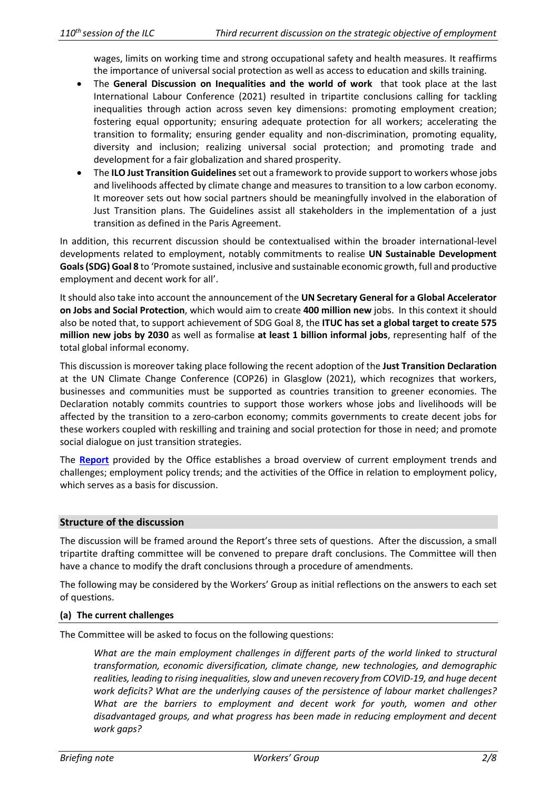wages, limits on working time and strong occupational safety and health measures. It reaffirms the importance of universal social protection as well as access to education and skills training.

- The **General Discussion on Inequalities and the world of work** that took place at the last International Labour Conference (2021) resulted in tripartite conclusions calling for tackling inequalities through action across seven key dimensions: promoting employment creation; fostering equal opportunity; ensuring adequate protection for all workers; accelerating the transition to formality; ensuring gender equality and non-discrimination, promoting equality, diversity and inclusion; realizing universal social protection; and promoting trade and development for a fair globalization and shared prosperity.
- The **ILO Just Transition Guidelines**set out a framework to provide support to workers whose jobs and livelihoods affected by climate change and measures to transition to a low carbon economy. It moreover sets out how social partners should be meaningfully involved in the elaboration of Just Transition plans. The Guidelines assist all stakeholders in the implementation of a just transition as defined in the Paris Agreement.

In addition, this recurrent discussion should be contextualised within the broader international-level developments related to employment, notably commitments to realise **UN Sustainable Development Goals (SDG) Goal 8** to 'Promote sustained, inclusive and sustainable economic growth, full and productive employment and decent work for all'.

It should also take into account the announcement of the **UN Secretary General for a Global Accelerator on Jobs and Social Protection**, which would aim to create **400 million new** jobs. In this context it should also be noted that, to support achievement of SDG Goal 8, the **ITUC has set a global target to create 575 million new jobs by 2030** as well as formalise **at least 1 billion informal jobs**, representing half of the total global informal economy.

This discussion is moreover taking place following the recent adoption of the **Just Transition Declaration** at the UN Climate Change Conference (COP26) in Glasglow (2021), which recognizes that workers, businesses and communities must be supported as countries transition to greener economies. The Declaration notably commits countries to support those workers whose jobs and livelihoods will be affected by the transition to a zero-carbon economy; commits governments to create decent jobs for these workers coupled with reskilling and training and social protection for those in need; and promote social dialogue on just transition strategies.

The **[Report](https://www.ilo.org/wcmsp5/groups/public/---ed_norm/---relconf/documents/meetingdocument/wcms_842083.pdf)** provided by the Office establishes a broad overview of current employment trends and challenges; employment policy trends; and the activities of the Office in relation to employment policy, which serves as a basis for discussion.

## **Structure of the discussion**

The discussion will be framed around the Report's three sets of questions. After the discussion, a small tripartite drafting committee will be convened to prepare draft conclusions. The Committee will then have a chance to modify the draft conclusions through a procedure of amendments.

The following may be considered by the Workers' Group as initial reflections on the answers to each set of questions.

## **(a) The current challenges**

The Committee will be asked to focus on the following questions:

*What are the main employment challenges in different parts of the world linked to structural transformation, economic diversification, climate change, new technologies, and demographic realities, leading to rising inequalities, slow and uneven recovery from COVID-19, and huge decent work deficits? What are the underlying causes of the persistence of labour market challenges? What are the barriers to employment and decent work for youth, women and other disadvantaged groups, and what progress has been made in reducing employment and decent work gaps?*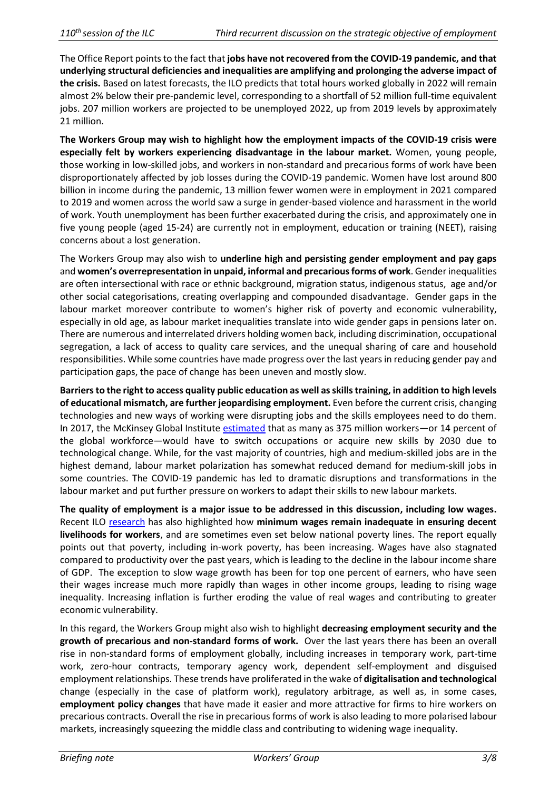The Office Report points to the fact that jobs have not recovered from the COVID-19 pandemic, and that **underlying structural deficiencies and inequalities are amplifying and prolonging the adverse impact of the crisis.** Based on latest forecasts, the ILO predicts that total hours worked globally in 2022 will remain almost 2% below their pre-pandemic level, corresponding to a shortfall of 52 million full-time equivalent jobs. 207 million workers are projected to be unemployed 2022, up from 2019 levels by approximately 21 million.

**The Workers Group may wish to highlight how the employment impacts of the COVID-19 crisis were especially felt by workers experiencing disadvantage in the labour market.** Women, young people, those working in low-skilled jobs, and workers in non-standard and precarious forms of work have been disproportionately affected by job losses during the COVID-19 pandemic. Women have lost around 800 billion in income during the pandemic, 13 million fewer women were in employment in 2021 compared to 2019 and women across the world saw a surge in gender-based violence and harassment in the world of work. Youth unemployment has been further exacerbated during the crisis, and approximately one in five young people (aged 15-24) are currently not in employment, education or training (NEET), raising concerns about a lost generation.

The Workers Group may also wish to **underline high and persisting gender employment and pay gaps** and **women's overrepresentation in unpaid, informal and precarious forms of work**. Gender inequalities are often intersectional with race or ethnic background, migration status, indigenous status, age and/or other social categorisations, creating overlapping and compounded disadvantage. Gender gaps in the labour market moreover contribute to women's higher risk of poverty and economic vulnerability, especially in old age, as labour market inequalities translate into wide gender gaps in pensions later on. There are numerous and interrelated drivers holding women back, including discrimination, occupational segregation, a lack of access to quality care services, and the unequal sharing of care and household responsibilities. While some countries have made progress over the last years in reducing gender pay and participation gaps, the pace of change has been uneven and mostly slow.

**Barriers to the right to access quality public education as well asskills training, in addition to high levels of educational mismatch, are further jeopardising employment.** Even before the current crisis, changing technologies and new ways of working were disrupting jobs and the skills employees need to do them. In 2017, the McKinsey Global Institute [estimated](https://www.mckinsey.com/featured-insights/future-of-work/jobs-lost-jobs-gained-what-the-future-of-work-will-mean-for-jobs-skills-and-wages) that as many as 375 million workers—or 14 percent of the global workforce—would have to switch occupations or acquire new skills by 2030 due to technological change. While, for the vast majority of countries, high and medium-skilled jobs are in the highest demand, labour market polarization has somewhat reduced demand for medium-skill jobs in some countries. The COVID-19 pandemic has led to dramatic disruptions and transformations in the labour market and put further pressure on workers to adapt their skills to new labour markets.

**The quality of employment is a major issue to be addressed in this discussion, including low wages.**  Recent ILO [research](https://www.ilo.org/wcmsp5/groups/public/---dgreports/---dcomm/---publ/documents/publication/wcms_762534.pdf) has also highlighted how **minimum wages remain inadequate in ensuring decent livelihoods for workers**, and are sometimes even set below national poverty lines. The report equally points out that poverty, including in-work poverty, has been increasing. Wages have also stagnated compared to productivity over the past years, which is leading to the decline in the labour income share of GDP. The exception to slow wage growth has been for top one percent of earners, who have seen their wages increase much more rapidly than wages in other income groups, leading to rising wage inequality. Increasing inflation is further eroding the value of real wages and contributing to greater economic vulnerability.

In this regard, the Workers Group might also wish to highlight **decreasing employment security and the growth of precarious and non-standard forms of work.** Over the last years there has been an overall rise in non-standard forms of employment globally, including increases in temporary work, part-time work, zero-hour contracts, temporary agency work, dependent self-employment and disguised employment relationships. These trends have proliferated in the wake of **digitalisation and technological**  change (especially in the case of platform work), regulatory arbitrage, as well as, in some cases, **employment policy changes** that have made it easier and more attractive for firms to hire workers on precarious contracts. Overall the rise in precarious forms of work is also leading to more polarised labour markets, increasingly squeezing the middle class and contributing to widening wage inequality.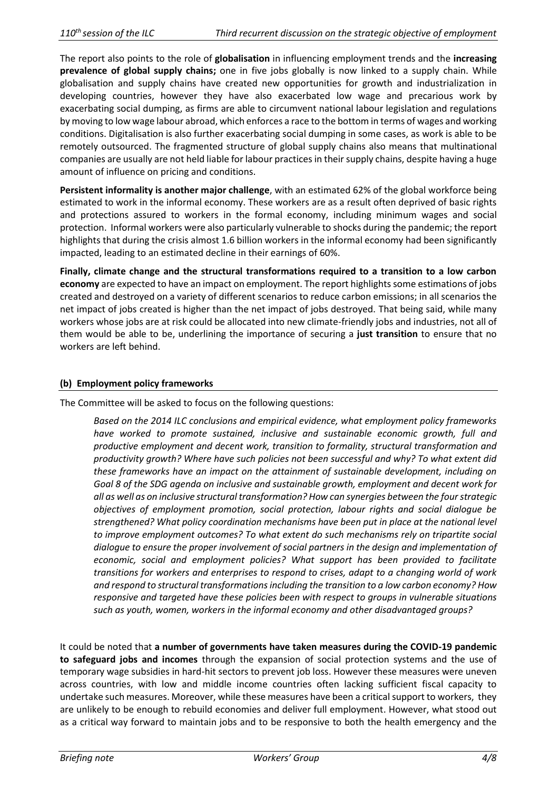The report also points to the role of **globalisation** in influencing employment trends and the **increasing prevalence of global supply chains;** one in five jobs globally is now linked to a supply chain. While globalisation and supply chains have created new opportunities for growth and industrialization in developing countries, however they have also exacerbated low wage and precarious work by exacerbating social dumping, as firms are able to circumvent national labour legislation and regulations by moving to low wage labour abroad, which enforces a race to the bottom in terms of wages and working conditions. Digitalisation is also further exacerbating social dumping in some cases, as work is able to be remotely outsourced. The fragmented structure of global supply chains also means that multinational companies are usually are not held liable for labour practices in their supply chains, despite having a huge amount of influence on pricing and conditions.

**Persistent informality is another major challenge**, with an estimated 62% of the global workforce being estimated to work in the informal economy. These workers are as a result often deprived of basic rights and protections assured to workers in the formal economy, including minimum wages and social protection. Informal workers were also particularly vulnerable to shocks during the pandemic; the report highlights that during the crisis almost 1.6 billion workers in the informal economy had been significantly impacted, leading to an estimated decline in their earnings of 60%.

**Finally, climate change and the structural transformations required to a transition to a low carbon economy** are expected to have an impact on employment. The report highlights some estimations of jobs created and destroyed on a variety of different scenarios to reduce carbon emissions; in all scenarios the net impact of jobs created is higher than the net impact of jobs destroyed. That being said, while many workers whose jobs are at risk could be allocated into new climate-friendly jobs and industries, not all of them would be able to be, underlining the importance of securing a **just transition** to ensure that no workers are left behind.

## **(b) Employment policy frameworks**

The Committee will be asked to focus on the following questions:

*Based on the 2014 ILC conclusions and empirical evidence, what employment policy frameworks have worked to promote sustained, inclusive and sustainable economic growth, full and productive employment and decent work, transition to formality, structural transformation and productivity growth? Where have such policies not been successful and why? To what extent did these frameworks have an impact on the attainment of sustainable development, including on Goal 8 of the SDG agenda on inclusive and sustainable growth, employment and decent work for all as well as on inclusive structural transformation? How can synergies between the four strategic objectives of employment promotion, social protection, labour rights and social dialogue be strengthened? What policy coordination mechanisms have been put in place at the national level to improve employment outcomes? To what extent do such mechanisms rely on tripartite social dialogue to ensure the proper involvement of social partners in the design and implementation of economic, social and employment policies? What support has been provided to facilitate transitions for workers and enterprises to respond to crises, adapt to a changing world of work and respond to structural transformations including the transition to a low carbon economy? How responsive and targeted have these policies been with respect to groups in vulnerable situations such as youth, women, workers in the informal economy and other disadvantaged groups?*

It could be noted that **a number of governments have taken measures during the COVID-19 pandemic to safeguard jobs and incomes** through the expansion of social protection systems and the use of temporary wage subsidies in hard-hit sectors to prevent job loss. However these measures were uneven across countries, with low and middle income countries often lacking sufficient fiscal capacity to undertake such measures. Moreover, while these measures have been a critical support to workers, they are unlikely to be enough to rebuild economies and deliver full employment. However, what stood out as a critical way forward to maintain jobs and to be responsive to both the health emergency and the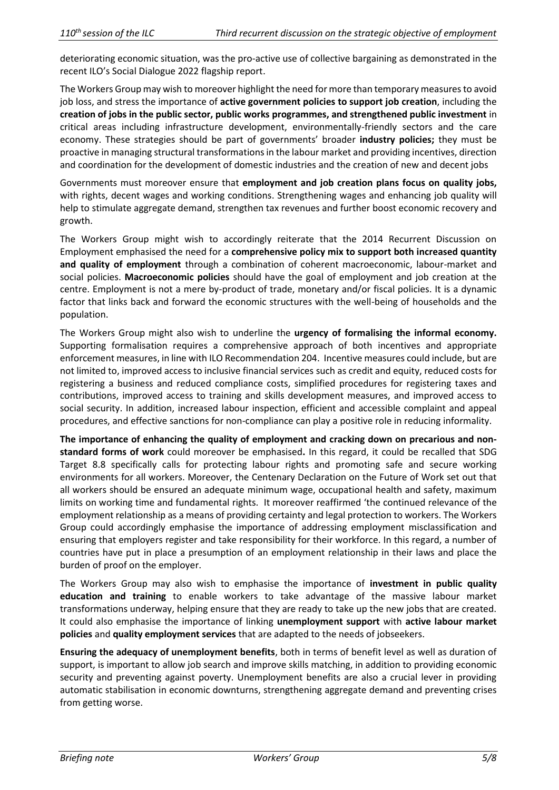deteriorating economic situation, was the pro-active use of collective bargaining as demonstrated in the recent ILO's Social Dialogue 2022 flagship report.

The Workers Group may wish to moreover highlight the need for more than temporary measures to avoid job loss, and stress the importance of **active government policies to support job creation**, including the **creation of jobs in the public sector, public works programmes, and strengthened public investment** in critical areas including infrastructure development, environmentally-friendly sectors and the care economy. These strategies should be part of governments' broader **industry policies;** they must be proactive in managing structural transformations in the labour market and providing incentives, direction and coordination for the development of domestic industries and the creation of new and decent jobs

Governments must moreover ensure that **employment and job creation plans focus on quality jobs,** with rights, decent wages and working conditions. Strengthening wages and enhancing job quality will help to stimulate aggregate demand, strengthen tax revenues and further boost economic recovery and growth.

The Workers Group might wish to accordingly reiterate that the 2014 Recurrent Discussion on Employment emphasised the need for a **comprehensive policy mix to support both increased quantity and quality of employment** through a combination of coherent macroeconomic, labour-market and social policies. **Macroeconomic policies** should have the goal of employment and job creation at the centre. Employment is not a mere by-product of trade, monetary and/or fiscal policies. It is a dynamic factor that links back and forward the economic structures with the well-being of households and the population.

The Workers Group might also wish to underline the **urgency of formalising the informal economy.**  Supporting formalisation requires a comprehensive approach of both incentives and appropriate enforcement measures, in line with ILO Recommendation 204. Incentive measures could include, but are not limited to, improved access to inclusive financial services such as credit and equity, reduced costs for registering a business and reduced compliance costs, simplified procedures for registering taxes and contributions, improved access to training and skills development measures, and improved access to social security. In addition, increased labour inspection, efficient and accessible complaint and appeal procedures, and effective sanctions for non-compliance can play a positive role in reducing informality.

**The importance of enhancing the quality of employment and cracking down on precarious and nonstandard forms of work** could moreover be emphasised**.** In this regard, it could be recalled that SDG Target 8.8 specifically calls for protecting labour rights and promoting safe and secure working environments for all workers. Moreover, the Centenary Declaration on the Future of Work set out that all workers should be ensured an adequate minimum wage, occupational health and safety, maximum limits on working time and fundamental rights. It moreover reaffirmed 'the continued relevance of the employment relationship as a means of providing certainty and legal protection to workers. The Workers Group could accordingly emphasise the importance of addressing employment misclassification and ensuring that employers register and take responsibility for their workforce. In this regard, a number of countries have put in place a presumption of an employment relationship in their laws and place the burden of proof on the employer.

The Workers Group may also wish to emphasise the importance of **investment in public quality education and training** to enable workers to take advantage of the massive labour market transformations underway, helping ensure that they are ready to take up the new jobs that are created. It could also emphasise the importance of linking **unemployment support** with **active labour market policies** and **quality employment services** that are adapted to the needs of jobseekers.

**Ensuring the adequacy of unemployment benefits**, both in terms of benefit level as well as duration of support, is important to allow job search and improve skills matching, in addition to providing economic security and preventing against poverty. Unemployment benefits are also a crucial lever in providing automatic stabilisation in economic downturns, strengthening aggregate demand and preventing crises from getting worse.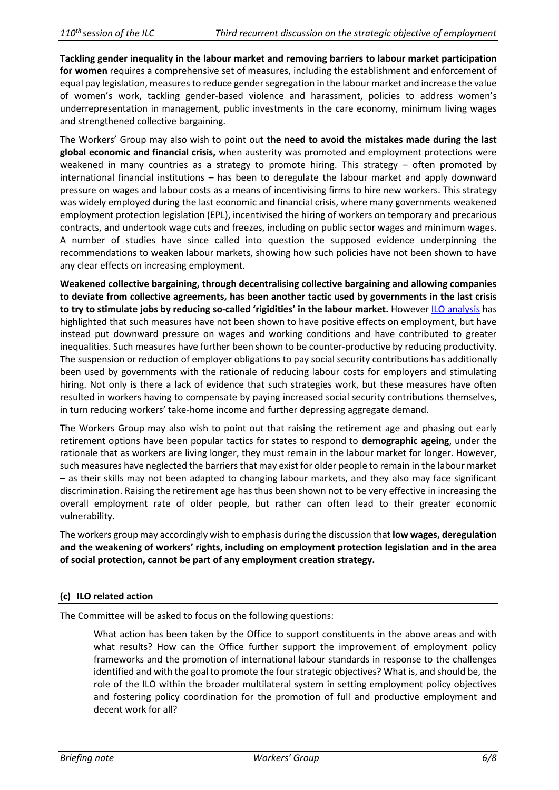**Tackling gender inequality in the labour market and removing barriers to labour market participation for women** requires a comprehensive set of measures, including the establishment and enforcement of equal pay legislation, measures to reduce gender segregation in the labour market and increase the value of women's work, tackling gender-based violence and harassment, policies to address women's underrepresentation in management, public investments in the care economy, minimum living wages and strengthened collective bargaining.

The Workers' Group may also wish to point out **the need to avoid the mistakes made during the last global economic and financial crisis,** when austerity was promoted and employment protections were weakened in many countries as a strategy to promote hiring. This strategy – often promoted by international financial institutions – has been to deregulate the labour market and apply downward pressure on wages and labour costs as a means of incentivising firms to hire new workers. This strategy was widely employed during the last economic and financial crisis, where many governments weakened employment protection legislation (EPL), incentivised the hiring of workers on temporary and precarious contracts, and undertook wage cuts and freezes, including on public sector wages and minimum wages. A number of studies have since called into question the supposed evidence underpinning the recommendations to weaken labour markets, showing how such policies have not been shown to have any clear effects on increasing employment.

**Weakened collective bargaining, through decentralising collective bargaining and allowing companies to deviate from collective agreements, has been another tactic used by governments in the last crisis to try to stimulate jobs by reducing so-called 'rigidities' in the labour market.** However [ILO analysis](https://www.ilo.org/global/about-the-ilo/newsroom/news/WCMS_189517/lang--en/index.htm) has highlighted that such measures have not been shown to have positive effects on employment, but have instead put downward pressure on wages and working conditions and have contributed to greater inequalities. Such measures have further been shown to be counter-productive by reducing productivity. The suspension or reduction of employer obligations to pay social security contributions has additionally been used by governments with the rationale of reducing labour costs for employers and stimulating hiring. Not only is there a lack of evidence that such strategies work, but these measures have often resulted in workers having to compensate by paying increased social security contributions themselves, in turn reducing workers' take-home income and further depressing aggregate demand.

The Workers Group may also wish to point out that raising the retirement age and phasing out early retirement options have been popular tactics for states to respond to **demographic ageing**, under the rationale that as workers are living longer, they must remain in the labour market for longer. However, such measures have neglected the barriers that may exist for older people to remain in the labour market – as their skills may not been adapted to changing labour markets, and they also may face significant discrimination. Raising the retirement age has thus been shown not to be very effective in increasing the overall employment rate of older people, but rather can often lead to their greater economic vulnerability.

The workers group may accordingly wish to emphasis during the discussion that **low wages, deregulation and the weakening of workers' rights, including on employment protection legislation and in the area of social protection, cannot be part of any employment creation strategy.**

## **(c) ILO related action**

The Committee will be asked to focus on the following questions:

What action has been taken by the Office to support constituents in the above areas and with what results? How can the Office further support the improvement of employment policy frameworks and the promotion of international labour standards in response to the challenges identified and with the goal to promote the four strategic objectives? What is, and should be, the role of the ILO within the broader multilateral system in setting employment policy objectives and fostering policy coordination for the promotion of full and productive employment and decent work for all?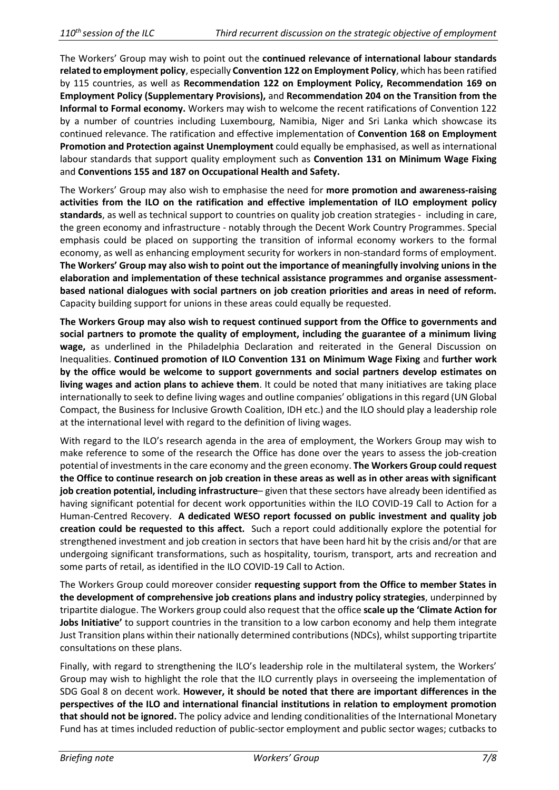The Workers' Group may wish to point out the **continued relevance of international labour standards related to employment policy**, especially **Convention 122 on Employment Policy**, which has been ratified by 115 countries, as well as **Recommendation 122 on Employment Policy, Recommendation 169 on Employment Policy (Supplementary Provisions),** and **Recommendation 204 on the Transition from the Informal to Formal economy.** Workers may wish to welcome the recent ratifications of Convention 122 by a number of countries including Luxembourg, Namibia, Niger and Sri Lanka which showcase its continued relevance. The ratification and effective implementation of **Convention 168 on Employment Promotion and Protection against Unemployment** could equally be emphasised, as well as international labour standards that support quality employment such as **Convention 131 on Minimum Wage Fixing** and **Conventions 155 and 187 on Occupational Health and Safety.**

The Workers' Group may also wish to emphasise the need for **more promotion and awareness-raising activities from the ILO on the ratification and effective implementation of ILO employment policy standards**, as well as technical support to countries on quality job creation strategies - including in care, the green economy and infrastructure - notably through the Decent Work Country Programmes. Special emphasis could be placed on supporting the transition of informal economy workers to the formal economy, as well as enhancing employment security for workers in non-standard forms of employment. **The Workers' Group may also wish to point out the importance of meaningfully involving unions in the elaboration and implementation of these technical assistance programmes and organise assessmentbased national dialogues with social partners on job creation priorities and areas in need of reform.** Capacity building support for unions in these areas could equally be requested.

**The Workers Group may also wish to request continued support from the Office to governments and social partners to promote the quality of employment, including the guarantee of a minimum living wage,** as underlined in the Philadelphia Declaration and reiterated in the General Discussion on Inequalities. **Continued promotion of ILO Convention 131 on Minimum Wage Fixing** and **further work by the office would be welcome to support governments and social partners develop estimates on living wages and action plans to achieve them**. It could be noted that many initiatives are taking place internationally to seek to define living wages and outline companies' obligations in this regard (UN Global Compact, the Business for Inclusive Growth Coalition, IDH etc.) and the ILO should play a leadership role at the international level with regard to the definition of living wages.

With regard to the ILO's research agenda in the area of employment, the Workers Group may wish to make reference to some of the research the Office has done over the years to assess the job-creation potential of investments in the care economy and the green economy. **The Workers Group could request the Office to continue research on job creation in these areas as well as in other areas with significant job creation potential, including infrastructure**– given that these sectors have already been identified as having significant potential for decent work opportunities within the ILO COVID-19 Call to Action for a Human-Centred Recovery. **A dedicated WESO report focussed on public investment and quality job creation could be requested to this affect.** Such a report could additionally explore the potential for strengthened investment and job creation in sectors that have been hard hit by the crisis and/or that are undergoing significant transformations, such as hospitality, tourism, transport, arts and recreation and some parts of retail, as identified in the ILO COVID-19 Call to Action.

The Workers Group could moreover consider **requesting support from the Office to member States in the development of comprehensive job creations plans and industry policy strategies**, underpinned by tripartite dialogue. The Workers group could also request that the office **scale up the 'Climate Action for Jobs Initiative'** to support countries in the transition to a low carbon economy and help them integrate Just Transition plans within their nationally determined contributions (NDCs), whilst supporting tripartite consultations on these plans.

Finally, with regard to strengthening the ILO's leadership role in the multilateral system, the Workers' Group may wish to highlight the role that the ILO currently plays in overseeing the implementation of SDG Goal 8 on decent work. **However, it should be noted that there are important differences in the perspectives of the ILO and international financial institutions in relation to employment promotion that should not be ignored.** The policy advice and lending conditionalities of the International Monetary Fund has at times included reduction of public-sector employment and public sector wages; cutbacks to